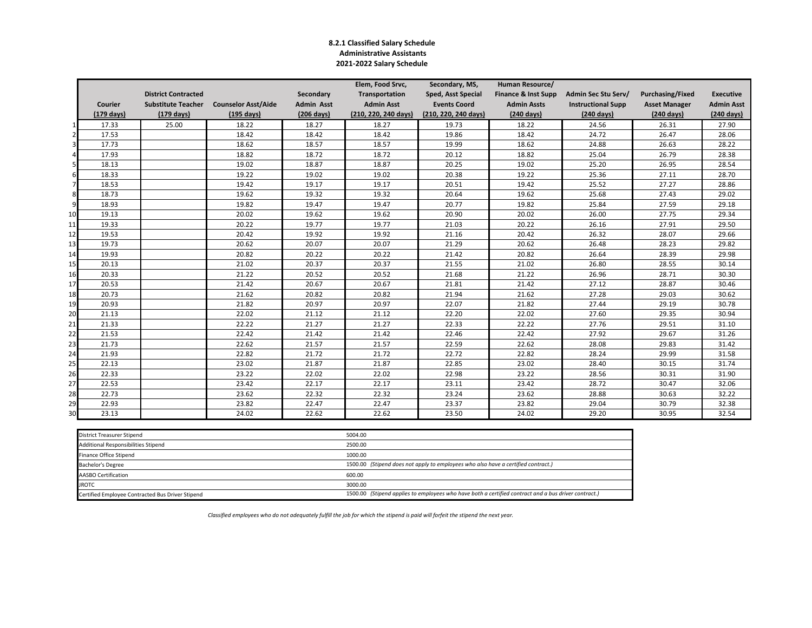#### **8.2.1 Classified Salary Schedule Administrative Assistants 2021-2022 Salary Schedule**

|                         |                      |                            |                            |                      | Elem, Food Srvc,     | Secondary, MS,       | Human Resource/      |                           |                         |                      |
|-------------------------|----------------------|----------------------------|----------------------------|----------------------|----------------------|----------------------|----------------------|---------------------------|-------------------------|----------------------|
|                         |                      | <b>District Contracted</b> |                            | Secondary            | Transportation       | Sped, Asst Special   | Finance & Inst Supp  | Admin Sec Stu Serv/       | <b>Purchasing/Fixed</b> | <b>Executive</b>     |
|                         | Courier              | <b>Substitute Teacher</b>  | <b>Counselor Asst/Aide</b> | <b>Admin Asst</b>    | <b>Admin Asst</b>    | <b>Events Coord</b>  | <b>Admin Assts</b>   | <b>Instructional Supp</b> | <b>Asset Manager</b>    | <b>Admin Asst</b>    |
|                         | $(179 \text{ days})$ | $(179 \text{ days})$       | $(195 \text{ days})$       | $(206 \text{ days})$ | (210, 220, 240 days) | (210, 220, 240 days) | $(240 \text{ days})$ | (240 days)                | $(240 \text{ days})$    | $(240 \text{ days})$ |
| $\mathbf{1}$            | 17.33                | 25.00                      | 18.22                      | 18.27                | 18.27                | 19.73                | 18.22                | 24.56                     | 26.31                   | 27.90                |
| $\overline{2}$          | 17.53                |                            | 18.42                      | 18.42                | 18.42                | 19.86                | 18.42                | 24.72                     | 26.47                   | 28.06                |
| $\overline{\mathbf{3}}$ | 17.73                |                            | 18.62                      | 18.57                | 18.57                | 19.99                | 18.62                | 24.88                     | 26.63                   | 28.22                |
| 4                       | 17.93                |                            | 18.82                      | 18.72                | 18.72                | 20.12                | 18.82                | 25.04                     | 26.79                   | 28.38                |
| 5 <sub>l</sub>          | 18.13                |                            | 19.02                      | 18.87                | 18.87                | 20.25                | 19.02                | 25.20                     | 26.95                   | 28.54                |
| $6 \mid$                | 18.33                |                            | 19.22                      | 19.02                | 19.02                | 20.38                | 19.22                | 25.36                     | 27.11                   | 28.70                |
| $\overline{7}$          | 18.53                |                            | 19.42                      | 19.17                | 19.17                | 20.51                | 19.42                | 25.52                     | 27.27                   | 28.86                |
| 8                       | 18.73                |                            | 19.62                      | 19.32                | 19.32                | 20.64                | 19.62                | 25.68                     | 27.43                   | 29.02                |
| 9                       | 18.93                |                            | 19.82                      | 19.47                | 19.47                | 20.77                | 19.82                | 25.84                     | 27.59                   | 29.18                |
| 10                      | 19.13                |                            | 20.02                      | 19.62                | 19.62                | 20.90                | 20.02                | 26.00                     | 27.75                   | 29.34                |
| 11                      | 19.33                |                            | 20.22                      | 19.77                | 19.77                | 21.03                | 20.22                | 26.16                     | 27.91                   | 29.50                |
| 12                      | 19.53                |                            | 20.42                      | 19.92                | 19.92                | 21.16                | 20.42                | 26.32                     | 28.07                   | 29.66                |
| 13                      | 19.73                |                            | 20.62                      | 20.07                | 20.07                | 21.29                | 20.62                | 26.48                     | 28.23                   | 29.82                |
| 14                      | 19.93                |                            | 20.82                      | 20.22                | 20.22                | 21.42                | 20.82                | 26.64                     | 28.39                   | 29.98                |
| 15                      | 20.13                |                            | 21.02                      | 20.37                | 20.37                | 21.55                | 21.02                | 26.80                     | 28.55                   | 30.14                |
| 16                      | 20.33                |                            | 21.22                      | 20.52                | 20.52                | 21.68                | 21.22                | 26.96                     | 28.71                   | 30.30                |
| 17                      | 20.53                |                            | 21.42                      | 20.67                | 20.67                | 21.81                | 21.42                | 27.12                     | 28.87                   | 30.46                |
| 18                      | 20.73                |                            | 21.62                      | 20.82                | 20.82                | 21.94                | 21.62                | 27.28                     | 29.03                   | 30.62                |
| 19                      | 20.93                |                            | 21.82                      | 20.97                | 20.97                | 22.07                | 21.82                | 27.44                     | 29.19                   | 30.78                |
| 20                      | 21.13                |                            | 22.02                      | 21.12                | 21.12                | 22.20                | 22.02                | 27.60                     | 29.35                   | 30.94                |
| 21                      | 21.33                |                            | 22.22                      | 21.27                | 21.27                | 22.33                | 22.22                | 27.76                     | 29.51                   | 31.10                |
| 22                      | 21.53                |                            | 22.42                      | 21.42                | 21.42                | 22.46                | 22.42                | 27.92                     | 29.67                   | 31.26                |
| 23                      | 21.73                |                            | 22.62                      | 21.57                | 21.57                | 22.59                | 22.62                | 28.08                     | 29.83                   | 31.42                |
| 24                      | 21.93                |                            | 22.82                      | 21.72                | 21.72                | 22.72                | 22.82                | 28.24                     | 29.99                   | 31.58                |
| 25                      | 22.13                |                            | 23.02                      | 21.87                | 21.87                | 22.85                | 23.02                | 28.40                     | 30.15                   | 31.74                |
| 26                      | 22.33                |                            | 23.22                      | 22.02                | 22.02                | 22.98                | 23.22                | 28.56                     | 30.31                   | 31.90                |
| 27                      | 22.53                |                            | 23.42                      | 22.17                | 22.17                | 23.11                | 23.42                | 28.72                     | 30.47                   | 32.06                |
| 28                      | 22.73                |                            | 23.62                      | 22.32                | 22.32                | 23.24                | 23.62                | 28.88                     | 30.63                   | 32.22                |
| 29                      | 22.93                |                            | 23.82                      | 22.47                | 22.47                | 23.37                | 23.82                | 29.04                     | 30.79                   | 32.38                |
| 30                      | 23.13                |                            | 24.02                      | 22.62                | 22.62                | 23.50                | 24.02                | 29.20                     | 30.95                   | 32.54                |

| District Treasurer Stipend                       | 5004.00                                                                                              |
|--------------------------------------------------|------------------------------------------------------------------------------------------------------|
| Additional Responsibilities Stipend              | 2500.00                                                                                              |
| Finance Office Stipend                           | 1000.00                                                                                              |
| <b>Bachelor's Degree</b>                         | 1500.00 (Stipend does not apply to employees who also have a certified contract.)                    |
| <b>AASBO Certification</b>                       | 600.00                                                                                               |
| <b>JROTC</b>                                     | 3000.00                                                                                              |
| Certified Employee Contracted Bus Driver Stipend | 1500.00 (Stipend applies to employees who have both a certified contract and a bus driver contract.) |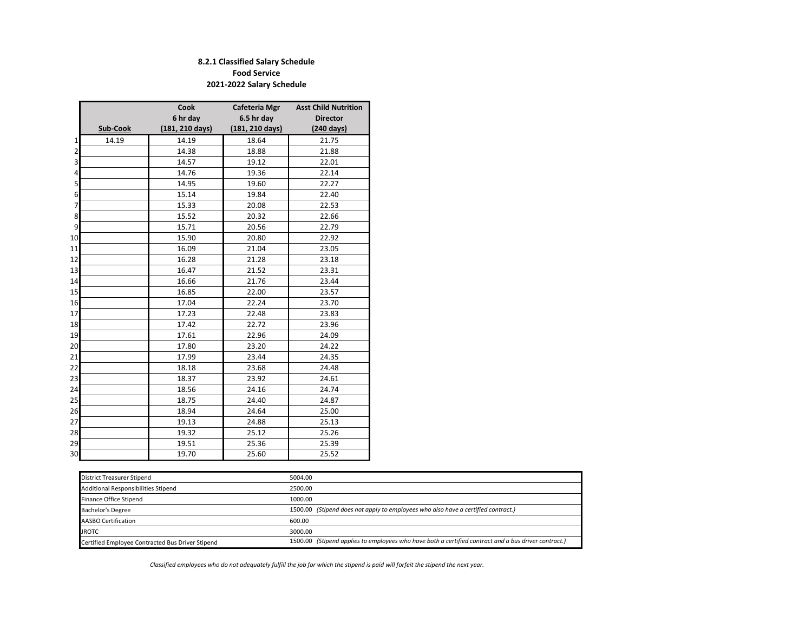### **8.2.1 Classified Salary Schedule Food Service 2021-2022 Salary Schedule**

|                |          | Cook                      | Cafeteria Mgr   | <b>Asst Child Nutrition</b> |
|----------------|----------|---------------------------|-----------------|-----------------------------|
|                |          | 6 hr day                  | 6.5 hr day      | <b>Director</b>             |
|                | Sub-Cook | $(181, 210 \text{ days})$ | (181, 210 days) | (240 days)                  |
| $\mathbf{1}$   | 14.19    | 14.19                     | 18.64           | 21.75                       |
| $\overline{2}$ |          | 14.38                     | 18.88           | 21.88                       |
| 3              |          | 14.57                     | 19.12           | 22.01                       |
| 4              |          | 14.76                     | 19.36           | 22.14                       |
| 5              |          | 14.95                     | 19.60           | 22.27                       |
| 6              |          | 15.14                     | 19.84           | 22.40                       |
| 7              |          | 15.33                     | 20.08           | 22.53                       |
| 8              |          | 15.52                     | 20.32           | 22.66                       |
| 9              |          | 15.71                     | 20.56           | 22.79                       |
| 10             |          | 15.90                     | 20.80           | 22.92                       |
| 11             |          | 16.09                     | 21.04           | 23.05                       |
| 12             |          | 16.28                     | 21.28           | 23.18                       |
| 13             |          | 16.47                     | 21.52           | 23.31                       |
| 14             |          | 16.66                     | 21.76           | 23.44                       |
| 15             |          | 16.85                     | 22.00           | 23.57                       |
| 16             |          | 17.04                     | 22.24           | 23.70                       |
| 17             |          | 17.23                     | 22.48           | 23.83                       |
| 18             |          | 17.42                     | 22.72           | 23.96                       |
| 19             |          | 17.61                     | 22.96           | 24.09                       |
| 20             |          | 17.80                     | 23.20           | 24.22                       |
| 21             |          | 17.99                     | 23.44           | 24.35                       |
| 22             |          | 18.18                     | 23.68           | 24.48                       |
| 23             |          | 18.37                     | 23.92           | 24.61                       |
| 24             |          | 18.56                     | 24.16           | 24.74                       |
| 25             |          | 18.75                     | 24.40           | 24.87                       |
| 26             |          | 18.94                     | 24.64           | 25.00                       |
| 27             |          | 19.13                     | 24.88           | 25.13                       |
| 28             |          | 19.32                     | 25.12           | 25.26                       |
| 29             |          | 19.51                     | 25.36           | 25.39                       |
| 30             |          | 19.70                     | 25.60           | 25.52                       |

| District Treasurer Stipend                       | 5004.00                                                                                              |
|--------------------------------------------------|------------------------------------------------------------------------------------------------------|
| Additional Responsibilities Stipend              | 2500.00                                                                                              |
| Finance Office Stipend                           | 1000.00                                                                                              |
| Bachelor's Degree                                | 1500.00 (Stipend does not apply to employees who also have a certified contract.)                    |
| <b>AASBO Certification</b>                       | 600.00                                                                                               |
| <b>JROTC</b>                                     | 3000.00                                                                                              |
| Certified Employee Contracted Bus Driver Stipend | 1500.00 (Stipend applies to employees who have both a certified contract and a bus driver contract.) |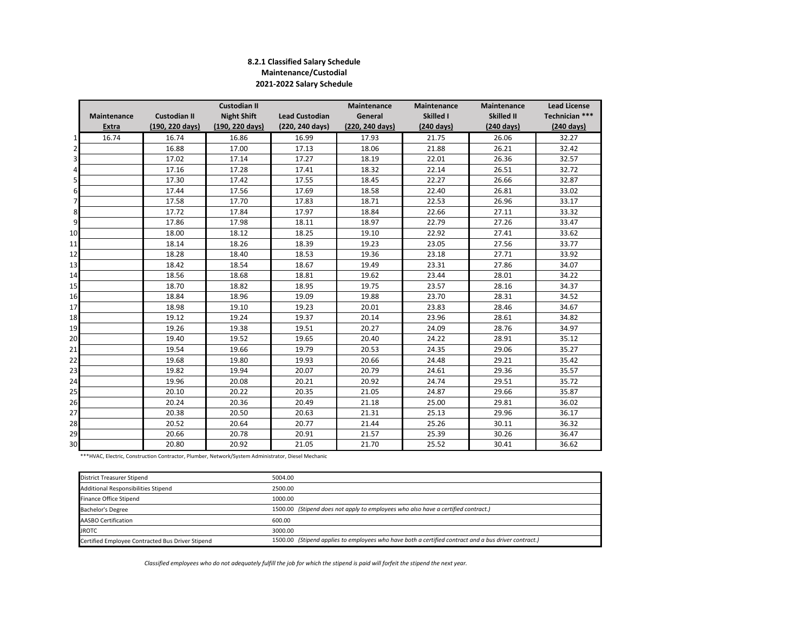#### **8.2.1 Classified Salary Schedule Maintenance/Custodial 2021-2022 Salary Schedule**

|                |              |                     | <b>Custodian II</b> |                       | <b>Maintenance</b> | <b>Maintenance</b>   | <b>Maintenance</b>   | <b>Lead License</b>  |
|----------------|--------------|---------------------|---------------------|-----------------------|--------------------|----------------------|----------------------|----------------------|
|                | Maintenance  | <b>Custodian II</b> | <b>Night Shift</b>  | <b>Lead Custodian</b> | General            | Skilled I            | Skilled II           | Technician ***       |
|                | <b>Extra</b> | (190, 220 days)     | (190, 220 days)     | (220, 240 days)       | (220, 240 days)    | $(240 \text{ days})$ | $(240 \text{ days})$ | $(240 \text{ days})$ |
| 1              | 16.74        | 16.74               | 16.86               | 16.99                 | 17.93              | 21.75                | 26.06                | 32.27                |
| $\overline{2}$ |              | 16.88               | 17.00               | 17.13                 | 18.06              | 21.88                | 26.21                | 32.42                |
| 3              |              | 17.02               | 17.14               | 17.27                 | 18.19              | 22.01                | 26.36                | 32.57                |
| 4              |              | 17.16               | 17.28               | 17.41                 | 18.32              | 22.14                | 26.51                | 32.72                |
| 5              |              | 17.30               | 17.42               | 17.55                 | 18.45              | 22.27                | 26.66                | 32.87                |
| 6              |              | 17.44               | 17.56               | 17.69                 | 18.58              | 22.40                | 26.81                | 33.02                |
| 7              |              | 17.58               | 17.70               | 17.83                 | 18.71              | 22.53                | 26.96                | 33.17                |
| 8              |              | 17.72               | 17.84               | 17.97                 | 18.84              | 22.66                | 27.11                | 33.32                |
| 9              |              | 17.86               | 17.98               | 18.11                 | 18.97              | 22.79                | 27.26                | 33.47                |
| 10             |              | 18.00               | 18.12               | 18.25                 | 19.10              | 22.92                | 27.41                | 33.62                |
| 11             |              | 18.14               | 18.26               | 18.39                 | 19.23              | 23.05                | 27.56                | 33.77                |
| 12             |              | 18.28               | 18.40               | 18.53                 | 19.36              | 23.18                | 27.71                | 33.92                |
| 13             |              | 18.42               | 18.54               | 18.67                 | 19.49              | 23.31                | 27.86                | 34.07                |
| 14             |              | 18.56               | 18.68               | 18.81                 | 19.62              | 23.44                | 28.01                | 34.22                |
| 15             |              | 18.70               | 18.82               | 18.95                 | 19.75              | 23.57                | 28.16                | 34.37                |
| 16             |              | 18.84               | 18.96               | 19.09                 | 19.88              | 23.70                | 28.31                | 34.52                |
| 17             |              | 18.98               | 19.10               | 19.23                 | 20.01              | 23.83                | 28.46                | 34.67                |
| 18             |              | 19.12               | 19.24               | 19.37                 | 20.14              | 23.96                | 28.61                | 34.82                |
| 19             |              | 19.26               | 19.38               | 19.51                 | 20.27              | 24.09                | 28.76                | 34.97                |
| 20             |              | 19.40               | 19.52               | 19.65                 | 20.40              | 24.22                | 28.91                | 35.12                |
| 21             |              | 19.54               | 19.66               | 19.79                 | 20.53              | 24.35                | 29.06                | 35.27                |
| 22             |              | 19.68               | 19.80               | 19.93                 | 20.66              | 24.48                | 29.21                | 35.42                |
| 23             |              | 19.82               | 19.94               | 20.07                 | 20.79              | 24.61                | 29.36                | 35.57                |
| 24             |              | 19.96               | 20.08               | 20.21                 | 20.92              | 24.74                | 29.51                | 35.72                |
| 25             |              | 20.10               | 20.22               | 20.35                 | 21.05              | 24.87                | 29.66                | 35.87                |
| 26             |              | 20.24               | 20.36               | 20.49                 | 21.18              | 25.00                | 29.81                | 36.02                |
| 27             |              | 20.38               | 20.50               | 20.63                 | 21.31              | 25.13                | 29.96                | 36.17                |
| 28             |              | 20.52               | 20.64               | 20.77                 | 21.44              | 25.26                | 30.11                | 36.32                |
| 29             |              | 20.66               | 20.78               | 20.91                 | 21.57              | 25.39                | 30.26                | 36.47                |
| 30             |              | 20.80               | 20.92               | 21.05                 | 21.70              | 25.52                | 30.41                | 36.62                |

\*\*\*HVAC, Electric, Construction Contractor, Plumber, Network/System Administrator, Diesel Mechanic

| <b>District Treasurer Stipend</b>                | 5004.00                                                                                              |
|--------------------------------------------------|------------------------------------------------------------------------------------------------------|
| Additional Responsibilities Stipend              | 2500.00                                                                                              |
| Finance Office Stipend                           | 1000.00                                                                                              |
| Bachelor's Degree                                | 1500.00 (Stipend does not apply to employees who also have a certified contract.)                    |
| AASBO Certification                              | 600.00                                                                                               |
| <b>JROTC</b>                                     | 3000.00                                                                                              |
| Certified Employee Contracted Bus Driver Stipend | 1500.00 (Stipend applies to employees who have both a certified contract and a bus driver contract.) |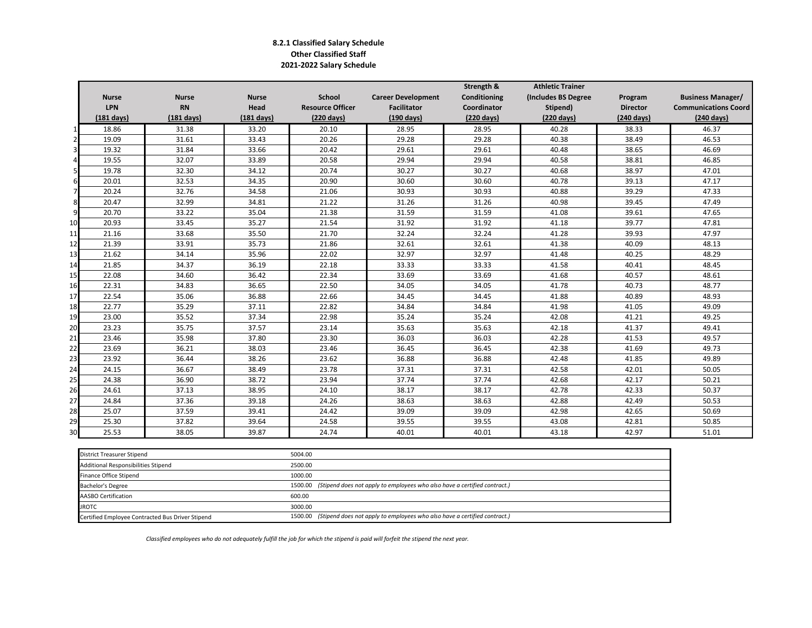### **8.2.1 Classified Salary Schedule Other Classified Staff 2021-2022 Salary Schedule**

|                |                      |                      |              |                         |                           | Strength &   | <b>Athletic Trainer</b> |                 |                             |
|----------------|----------------------|----------------------|--------------|-------------------------|---------------------------|--------------|-------------------------|-----------------|-----------------------------|
|                | <b>Nurse</b>         | <b>Nurse</b>         | <b>Nurse</b> | School                  | <b>Career Development</b> | Conditioning | (Includes BS Degree     | Program         | <b>Business Manager/</b>    |
|                | <b>LPN</b>           | <b>RN</b>            | Head         | <b>Resource Officer</b> | <b>Facilitator</b>        | Coordinator  | Stipend)                | <b>Director</b> | <b>Communications Coord</b> |
|                | $(181 \text{ days})$ | $(181 \text{ days})$ | $(181$ days) | (220 days)              | $(190 \text{ days})$      | (220 days)   | (220 days)              | (240 days)      | (240 days)                  |
| 1              | 18.86                | 31.38                | 33.20        | 20.10                   | 28.95                     | 28.95        | 40.28                   | 38.33           | 46.37                       |
| $\overline{2}$ | 19.09                | 31.61                | 33.43        | 20.26                   | 29.28                     | 29.28        | 40.38                   | 38.49           | 46.53                       |
| 3 <sup>1</sup> | 19.32                | 31.84                | 33.66        | 20.42                   | 29.61                     | 29.61        | 40.48                   | 38.65           | 46.69                       |
| $\overline{4}$ | 19.55                | 32.07                | 33.89        | 20.58                   | 29.94                     | 29.94        | 40.58                   | 38.81           | 46.85                       |
| 5              | 19.78                | 32.30                | 34.12        | 20.74                   | 30.27                     | 30.27        | 40.68                   | 38.97           | 47.01                       |
| 6              | 20.01                | 32.53                | 34.35        | 20.90                   | 30.60                     | 30.60        | 40.78                   | 39.13           | 47.17                       |
| $\overline{7}$ | 20.24                | 32.76                | 34.58        | 21.06                   | 30.93                     | 30.93        | 40.88                   | 39.29           | 47.33                       |
| 8              | 20.47                | 32.99                | 34.81        | 21.22                   | 31.26                     | 31.26        | 40.98                   | 39.45           | 47.49                       |
| 9              | 20.70                | 33.22                | 35.04        | 21.38                   | 31.59                     | 31.59        | 41.08                   | 39.61           | 47.65                       |
| 10             | 20.93                | 33.45                | 35.27        | 21.54                   | 31.92                     | 31.92        | 41.18                   | 39.77           | 47.81                       |
| 11             | 21.16                | 33.68                | 35.50        | 21.70                   | 32.24                     | 32.24        | 41.28                   | 39.93           | 47.97                       |
| 12             | 21.39                | 33.91                | 35.73        | 21.86                   | 32.61                     | 32.61        | 41.38                   | 40.09           | 48.13                       |
| 13             | 21.62                | 34.14                | 35.96        | 22.02                   | 32.97                     | 32.97        | 41.48                   | 40.25           | 48.29                       |
| 14             | 21.85                | 34.37                | 36.19        | 22.18                   | 33.33                     | 33.33        | 41.58                   | 40.41           | 48.45                       |
| 15             | 22.08                | 34.60                | 36.42        | 22.34                   | 33.69                     | 33.69        | 41.68                   | 40.57           | 48.61                       |
| 16             | 22.31                | 34.83                | 36.65        | 22.50                   | 34.05                     | 34.05        | 41.78                   | 40.73           | 48.77                       |
| 17             | 22.54                | 35.06                | 36.88        | 22.66                   | 34.45                     | 34.45        | 41.88                   | 40.89           | 48.93                       |
| 18             | 22.77                | 35.29                | 37.11        | 22.82                   | 34.84                     | 34.84        | 41.98                   | 41.05           | 49.09                       |
| 19             | 23.00                | 35.52                | 37.34        | 22.98                   | 35.24                     | 35.24        | 42.08                   | 41.21           | 49.25                       |
| 20             | 23.23                | 35.75                | 37.57        | 23.14                   | 35.63                     | 35.63        | 42.18                   | 41.37           | 49.41                       |
| 21             | 23.46                | 35.98                | 37.80        | 23.30                   | 36.03                     | 36.03        | 42.28                   | 41.53           | 49.57                       |
| 22             | 23.69                | 36.21                | 38.03        | 23.46                   | 36.45                     | 36.45        | 42.38                   | 41.69           | 49.73                       |
| 23             | 23.92                | 36.44                | 38.26        | 23.62                   | 36.88                     | 36.88        | 42.48                   | 41.85           | 49.89                       |
| 24             | 24.15                | 36.67                | 38.49        | 23.78                   | 37.31                     | 37.31        | 42.58                   | 42.01           | 50.05                       |
| 25             | 24.38                | 36.90                | 38.72        | 23.94                   | 37.74                     | 37.74        | 42.68                   | 42.17           | 50.21                       |
| 26             | 24.61                | 37.13                | 38.95        | 24.10                   | 38.17                     | 38.17        | 42.78                   | 42.33           | 50.37                       |
| 27             | 24.84                | 37.36                | 39.18        | 24.26                   | 38.63                     | 38.63        | 42.88                   | 42.49           | 50.53                       |
| 28             | 25.07                | 37.59                | 39.41        | 24.42                   | 39.09                     | 39.09        | 42.98                   | 42.65           | 50.69                       |
| 29             | 25.30                | 37.82                | 39.64        | 24.58                   | 39.55                     | 39.55        | 43.08                   | 42.81           | 50.85                       |
| 30             | 25.53                | 38.05                | 39.87        | 24.74                   | 40.01                     | 40.01        | 43.18                   | 42.97           | 51.01                       |

| District Treasurer Stipend                       | 5004.00                                                                           |
|--------------------------------------------------|-----------------------------------------------------------------------------------|
| Additional Responsibilities Stipend              | 2500.00                                                                           |
| <b>Finance Office Stipend</b>                    | 1000.00                                                                           |
| Bachelor's Degree                                | 1500.00 (Stipend does not apply to employees who also have a certified contract.) |
| AASBO Certification                              | 600.00                                                                            |
| <b>JROTC</b>                                     | 3000.00                                                                           |
| Certified Employee Contracted Bus Driver Stipend | 1500.00 (Stipend does not apply to employees who also have a certified contract.) |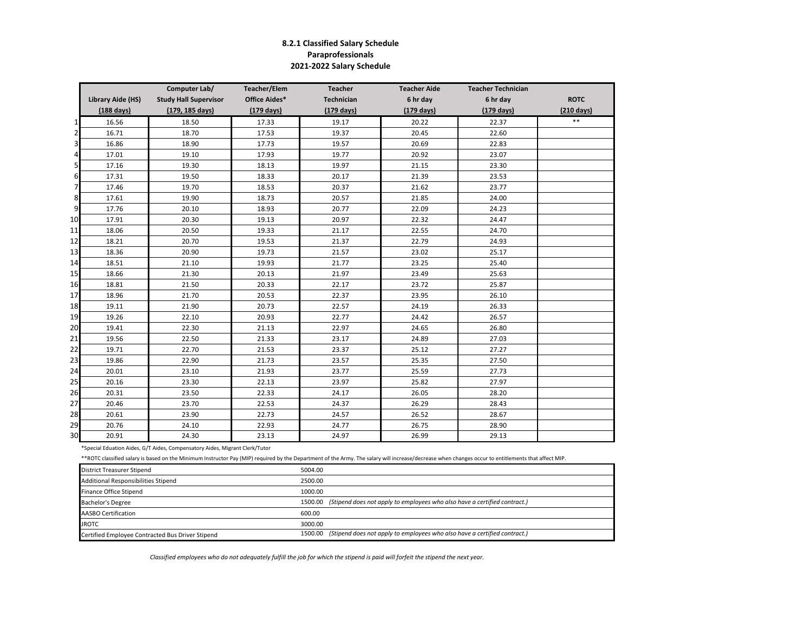## **8.2.1 Classified Salary Schedule Paraprofessionals 2021-2022 Salary Schedule**

|                |                      | Computer Lab/                | <b>Teacher/Elem</b>  | <b>Teacher</b>       | <b>Teacher Aide</b>  | <b>Teacher Technician</b> |                      |
|----------------|----------------------|------------------------------|----------------------|----------------------|----------------------|---------------------------|----------------------|
|                | Library Aide (HS)    | <b>Study Hall Supervisor</b> | <b>Office Aides*</b> | Technician           | 6 hr day             | 6 hr day                  | <b>ROTC</b>          |
|                | $(188 \text{ days})$ | (179, 185 days)              | $(179 \text{ days})$ | $(179 \text{ days})$ | $(179 \text{ days})$ | $(179 \text{ days})$      | $(210 \text{ days})$ |
| 1              | 16.56                | 18.50                        | 17.33                | 19.17                | 20.22                | 22.37                     | $***$                |
| $\overline{2}$ | 16.71                | 18.70                        | 17.53                | 19.37                | 20.45                | 22.60                     |                      |
| 3              | 16.86                | 18.90                        | 17.73                | 19.57                | 20.69                | 22.83                     |                      |
| 4              | 17.01                | 19.10                        | 17.93                | 19.77                | 20.92                | 23.07                     |                      |
| 5              | 17.16                | 19.30                        | 18.13                | 19.97                | 21.15                | 23.30                     |                      |
| 6              | 17.31                | 19.50                        | 18.33                | 20.17                | 21.39                | 23.53                     |                      |
| 7              | 17.46                | 19.70                        | 18.53                | 20.37                | 21.62                | 23.77                     |                      |
| 8              | 17.61                | 19.90                        | 18.73                | 20.57                | 21.85                | 24.00                     |                      |
| 9              | 17.76                | 20.10                        | 18.93                | 20.77                | 22.09                | 24.23                     |                      |
| 10             | 17.91                | 20.30                        | 19.13                | 20.97                | 22.32                | 24.47                     |                      |
| 11             | 18.06                | 20.50                        | 19.33                | 21.17                | 22.55                | 24.70                     |                      |
| 12             | 18.21                | 20.70                        | 19.53                | 21.37                | 22.79                | 24.93                     |                      |
| 13             | 18.36                | 20.90                        | 19.73                | 21.57                | 23.02                | 25.17                     |                      |
| 14             | 18.51                | 21.10                        | 19.93                | 21.77                | 23.25                | 25.40                     |                      |
| 15             | 18.66                | 21.30                        | 20.13                | 21.97                | 23.49                | 25.63                     |                      |
| 16             | 18.81                | 21.50                        | 20.33                | 22.17                | 23.72                | 25.87                     |                      |
| 17             | 18.96                | 21.70                        | 20.53                | 22.37                | 23.95                | 26.10                     |                      |
| 18             | 19.11                | 21.90                        | 20.73                | 22.57                | 24.19                | 26.33                     |                      |
| 19             | 19.26                | 22.10                        | 20.93                | 22.77                | 24.42                | 26.57                     |                      |
| 20             | 19.41                | 22.30                        | 21.13                | 22.97                | 24.65                | 26.80                     |                      |
| 21             | 19.56                | 22.50                        | 21.33                | 23.17                | 24.89                | 27.03                     |                      |
| 22             | 19.71                | 22.70                        | 21.53                | 23.37                | 25.12                | 27.27                     |                      |
| 23             | 19.86                | 22.90                        | 21.73                | 23.57                | 25.35                | 27.50                     |                      |
| 24             | 20.01                | 23.10                        | 21.93                | 23.77                | 25.59                | 27.73                     |                      |
| 25             | 20.16                | 23.30                        | 22.13                | 23.97                | 25.82                | 27.97                     |                      |
| 26             | 20.31                | 23.50                        | 22.33                | 24.17                | 26.05                | 28.20                     |                      |
| 27             | 20.46                | 23.70                        | 22.53                | 24.37                | 26.29                | 28.43                     |                      |
| 28             | 20.61                | 23.90                        | 22.73                | 24.57                | 26.52                | 28.67                     |                      |
| 29             | 20.76                | 24.10                        | 22.93                | 24.77                | 26.75                | 28.90                     |                      |
| 30             | 20.91                | 24.30                        | 23.13                | 24.97                | 26.99                | 29.13                     |                      |

\*Special Eduation Aides, G/T Aides, Compensatory Aides, Migrant Clerk/Tutor

\*\*ROTC classified salary is based on the Minimum Instructor Pay (MIP) required by the Department of the Army. The salary will increase/decrease when changes occur to entitlements that affect MIP.

| <b>District Treasurer Stipend</b>                | 5004.00 |                                                                                   |
|--------------------------------------------------|---------|-----------------------------------------------------------------------------------|
| Additional Responsibilities Stipend              | 2500.00 |                                                                                   |
| Finance Office Stipend                           | 1000.00 |                                                                                   |
| Bachelor's Degree                                |         | 1500.00 (Stipend does not apply to employees who also have a certified contract.) |
| <b>AASBO Certification</b>                       | 600.00  |                                                                                   |
| <b>JROTC</b>                                     | 3000.00 |                                                                                   |
| Certified Employee Contracted Bus Driver Stipend |         | 1500.00 (Stipend does not apply to employees who also have a certified contract.) |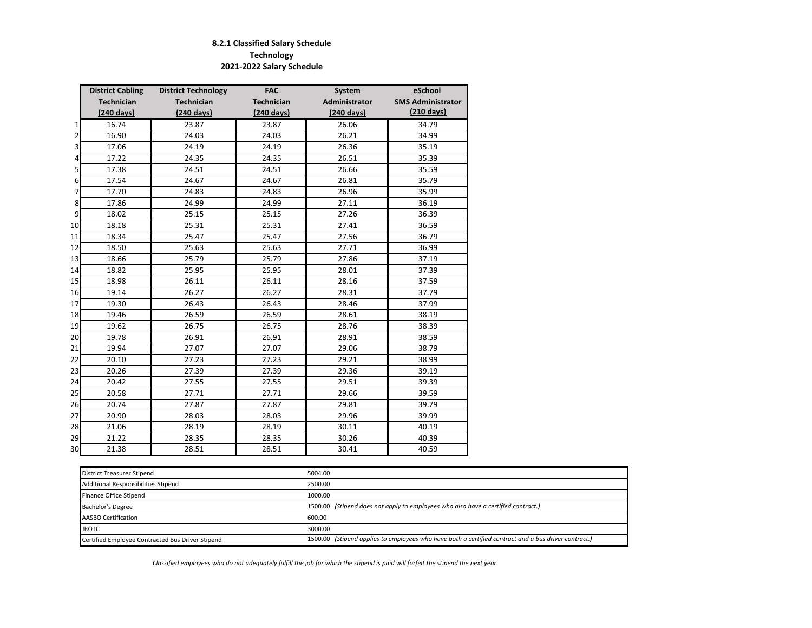# **8.2.1 Classified Salary Schedule Technology 2021-2022 Salary Schedule**

|    | <b>District Cabling</b> | <b>District Technology</b> | <b>FAC</b>           | System        | eSchool                  |
|----|-------------------------|----------------------------|----------------------|---------------|--------------------------|
|    | <b>Technician</b>       | <b>Technician</b>          | <b>Technician</b>    | Administrator | <b>SMS Administrator</b> |
|    | $(240 \text{ days})$    | $(240 \text{ days})$       | $(240 \text{ days})$ | (240 days)    | $(210 \text{ days})$     |
| 1  | 16.74                   | 23.87                      | 23.87                | 26.06         | 34.79                    |
| 2  | 16.90                   | 24.03                      | 24.03                | 26.21         | 34.99                    |
| 3  | 17.06                   | 24.19                      | 24.19                | 26.36         | 35.19                    |
| 4  | 17.22                   | 24.35                      | 24.35                | 26.51         | 35.39                    |
| 5  | 17.38                   | 24.51                      | 24.51                | 26.66         | 35.59                    |
| 6  | 17.54                   | 24.67                      | 24.67                | 26.81         | 35.79                    |
| 7  | 17.70                   | 24.83                      | 24.83                | 26.96         | 35.99                    |
| 8  | 17.86                   | 24.99                      | 24.99                | 27.11         | 36.19                    |
| 9  | 18.02                   | 25.15                      | 25.15                | 27.26         | 36.39                    |
| 10 | 18.18                   | 25.31                      | 25.31                | 27.41         | 36.59                    |
| 11 | 18.34                   | 25.47                      | 25.47                | 27.56         | 36.79                    |
| 12 | 18.50                   | 25.63                      | 25.63                | 27.71         | 36.99                    |
| 13 | 18.66                   | 25.79                      | 25.79                | 27.86         | 37.19                    |
| 14 | 18.82                   | 25.95                      | 25.95                | 28.01         | 37.39                    |
| 15 | 18.98                   | 26.11                      | 26.11                | 28.16         | 37.59                    |
| 16 | 19.14                   | 26.27                      | 26.27                | 28.31         | 37.79                    |
| 17 | 19.30                   | 26.43                      | 26.43                | 28.46         | 37.99                    |
| 18 | 19.46                   | 26.59                      | 26.59                | 28.61         | 38.19                    |
| 19 | 19.62                   | 26.75                      | 26.75                | 28.76         | 38.39                    |
| 20 | 19.78                   | 26.91                      | 26.91                | 28.91         | 38.59                    |
| 21 | 19.94                   | 27.07                      | 27.07                | 29.06         | 38.79                    |
| 22 | 20.10                   | 27.23                      | 27.23                | 29.21         | 38.99                    |
| 23 | 20.26                   | 27.39                      | 27.39                | 29.36         | 39.19                    |
| 24 | 20.42                   | 27.55                      | 27.55                | 29.51         | 39.39                    |
| 25 | 20.58                   | 27.71                      | 27.71                | 29.66         | 39.59                    |
| 26 | 20.74                   | 27.87                      | 27.87                | 29.81         | 39.79                    |
| 27 | 20.90                   | 28.03                      | 28.03                | 29.96         | 39.99                    |
| 28 | 21.06                   | 28.19                      | 28.19                | 30.11         | 40.19                    |
| 29 | 21.22                   | 28.35                      | 28.35                | 30.26         | 40.39                    |
| 30 | 21.38                   | 28.51                      | 28.51                | 30.41         | 40.59                    |

| District Treasurer Stipend                       | 5004.00                                                                                              |
|--------------------------------------------------|------------------------------------------------------------------------------------------------------|
| Additional Responsibilities Stipend              | 2500.00                                                                                              |
| Finance Office Stipend                           | 1000.00                                                                                              |
| Bachelor's Degree                                | 1500.00 (Stipend does not apply to employees who also have a certified contract.)                    |
| AASBO Certification                              | 600.00                                                                                               |
| <b>JROTC</b>                                     | 3000.00                                                                                              |
| Certified Employee Contracted Bus Driver Stipend | 1500.00 (Stipend applies to employees who have both a certified contract and a bus driver contract.) |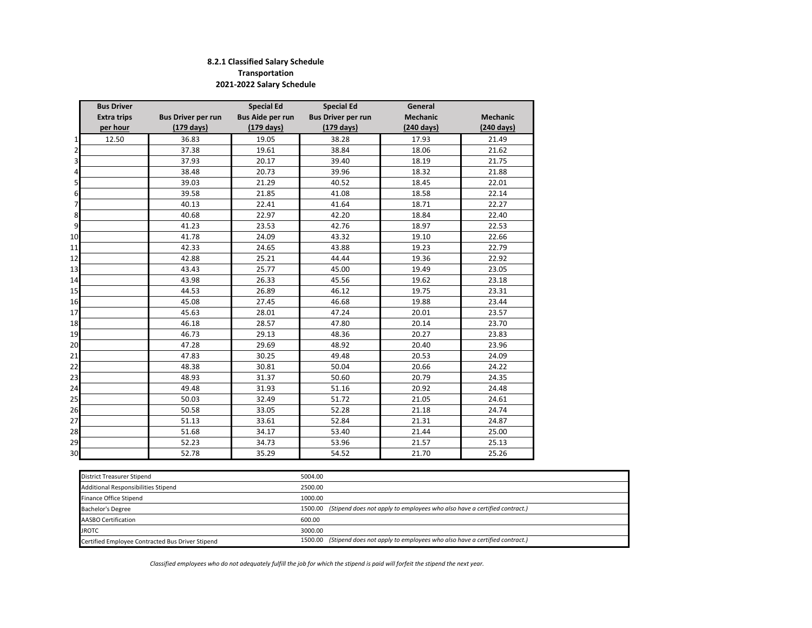### **8.2.1 Classified Salary Schedule Transportation 2021-2022 Salary Schedule**

|                | <b>Bus Driver</b>  |                           | <b>Special Ed</b> | <b>Special Ed</b>         | General              |                 |  |  |
|----------------|--------------------|---------------------------|-------------------|---------------------------|----------------------|-----------------|--|--|
|                | <b>Extra trips</b> | <b>Bus Driver per run</b> |                   | <b>Bus Driver per run</b> | Mechanic             | <b>Mechanic</b> |  |  |
|                | per hour           | $(179 \text{ days})$      |                   | $(179 \text{ days})$      | $(240 \text{ days})$ | (240 days)      |  |  |
| $\mathbf{1}$   | 12.50              | 36.83                     | 19.05             | 38.28                     | 17.93                | 21.49           |  |  |
| $\overline{2}$ |                    | 37.38                     | 19.61             | 38.84                     | 18.06                | 21.62           |  |  |
| 3              |                    | 37.93                     | 20.17             | 39.40                     | 18.19                | 21.75           |  |  |
| $\overline{4}$ |                    | 38.48                     | 20.73             | 39.96                     | 18.32                | 21.88           |  |  |
| 5              |                    | 39.03                     | 21.29             | 40.52                     | 18.45                | 22.01           |  |  |
| 6              |                    | 39.58                     | 21.85             | 41.08                     | 18.58                | 22.14           |  |  |
| 7              |                    | 40.13                     | 22.41             | 41.64                     | 18.71                | 22.27           |  |  |
| 8              |                    | 40.68                     | 22.97             | 42.20                     | 18.84                | 22.40           |  |  |
| 9              |                    | 41.23                     | 23.53             | 42.76                     | 18.97                | 22.53           |  |  |
| 10             |                    | 41.78                     | 24.09             | 43.32                     | 19.10                | 22.66           |  |  |
| 11             |                    | 42.33                     | 24.65             | 43.88                     | 19.23                | 22.79           |  |  |
| 12             |                    | 42.88                     | 25.21             | 44.44                     | 19.36                | 22.92           |  |  |
| 13             |                    | 43.43                     | 25.77             | 45.00                     | 19.49                | 23.05           |  |  |
| 14             |                    | 43.98                     | 26.33             | 45.56                     | 19.62                | 23.18           |  |  |
| 15             |                    | 44.53                     | 26.89             | 46.12                     | 19.75                | 23.31           |  |  |
| 16             |                    | 45.08                     | 27.45             | 46.68                     | 19.88                | 23.44           |  |  |
| 17             |                    | 45.63                     | 28.01             | 47.24                     | 20.01                | 23.57           |  |  |
| 18             |                    | 46.18                     | 28.57             | 47.80                     | 20.14                | 23.70           |  |  |
| 19             |                    | 46.73                     | 29.13             | 48.36                     | 20.27                | 23.83           |  |  |
| 20             |                    | 47.28                     | 29.69             | 48.92                     | 20.40                | 23.96           |  |  |
| 21             |                    | 47.83                     | 30.25             | 49.48                     | 20.53                | 24.09           |  |  |
| 22             |                    | 48.38                     | 30.81             | 50.04                     | 20.66                | 24.22           |  |  |
| 23             |                    | 48.93                     | 31.37             | 50.60                     | 20.79                | 24.35           |  |  |
| 24             |                    | 49.48                     | 31.93             | 51.16                     | 20.92                | 24.48           |  |  |
| 25             |                    | 50.03                     | 32.49             | 51.72                     | 21.05                | 24.61           |  |  |
| 26             |                    | 50.58                     | 33.05             | 52.28                     | 21.18                | 24.74           |  |  |
| 27             |                    | 51.13                     | 33.61             | 52.84                     | 21.31                | 24.87           |  |  |
| 28             |                    | 51.68                     | 34.17             | 53.40                     | 21.44                | 25.00           |  |  |
| 29             |                    | 52.23                     | 34.73             | 53.96                     | 21.57                | 25.13           |  |  |
| 30             |                    | 52.78                     | 35.29             | 54.52                     | 21.70                | 25.26           |  |  |

| <b>District Treasurer Stipend</b>                | 5004.00                                                                           |
|--------------------------------------------------|-----------------------------------------------------------------------------------|
| Additional Responsibilities Stipend              | 2500.00                                                                           |
| Finance Office Stipend                           | 1000.00                                                                           |
| <b>Bachelor's Degree</b>                         | 1500.00 (Stipend does not apply to employees who also have a certified contract.) |
| AASBO Certification                              | 600.00                                                                            |
| <b>JROTC</b>                                     | 3000.00                                                                           |
| Certified Employee Contracted Bus Driver Stipend | 1500.00 (Stipend does not apply to employees who also have a certified contract.) |